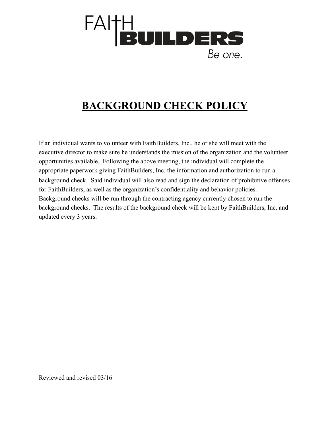

## **BACKGROUND CHECK POLICY**

If an individual wants to volunteer with FaithBuilders, Inc., he or she will meet with the executive director to make sure he understands the mission of the organization and the volunteer opportunities available. Following the above meeting, the individual will complete the appropriate paperwork giving FaithBuilders, Inc. the information and authorization to run a background check. Said individual will also read and sign the declaration of prohibitive offenses for FaithBuilders, as well as the organization's confidentiality and behavior policies. Background checks will be run through the contracting agency currently chosen to run the background checks. The results of the background check will be kept by FaithBuilders, Inc. and updated every 3 years.

Reviewed and revised 03/16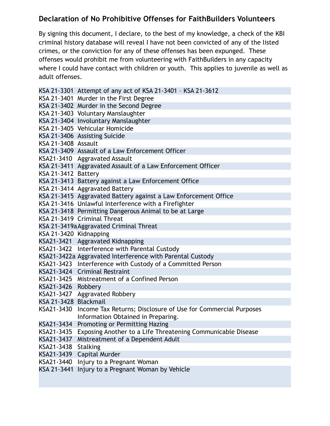## **Declaration of No Prohibitive Offenses for FaithBuilders Volunteers**

By signing this document, I declare, to the best of my knowledge, a check of the KBI criminal history database will reveal I have not been convicted of any of the listed crimes, or the conviction for any of these offenses has been expunged. These offenses would prohibit me from volunteering with FaithBuilders in any capacity where I could have contact with children or youth. This applies to juvenile as well as adult offenses.

|                        | KSA 21-3301 Attempt of any act of KSA 21-3401 - KSA 21-3612              |
|------------------------|--------------------------------------------------------------------------|
|                        | KSA 21-3401 Murder in the First Degree                                   |
|                        | KSA 21-3402 Murder in the Second Degree                                  |
|                        | KSA 21-3403 Voluntary Manslaughter                                       |
|                        | KSA 21-3404 Involuntary Manslaughter                                     |
|                        | KSA 21-3405 Vehicular Homicide                                           |
|                        | KSA 21-3406 Assisting Suicide                                            |
| KSA 21-3408 Assault    |                                                                          |
|                        | KSA 21-3409 Assault of a Law Enforcement Officer                         |
|                        | KSA21-3410 Aggravated Assault                                            |
|                        | KSA 21-3411 Aggravated Assault of a Law Enforcement Officer              |
| KSA 21-3412 Battery    |                                                                          |
|                        | KSA 21-3413 Battery against a Law Enforcement Office                     |
|                        | KSA 21-3414 Aggravated Battery                                           |
|                        | KSA 21-3415 Aggravated Battery against a Law Enforcement Office          |
|                        | KSA 21-3416 Unlawful Interference with a Firefighter                     |
|                        | KSA 21-3418 Permitting Dangerous Animal to be at Large                   |
|                        | KSA 21-3419 Criminal Threat                                              |
|                        | KSA 21-3419a Aggravated Criminal Threat                                  |
| KSA 21-3420 Kidnapping |                                                                          |
|                        | KSA21-3421 Aggravated Kidnapping                                         |
|                        | KSA21-3422 Interference with Parental Custody                            |
|                        | KSA21-3422a Aggravated Interference with Parental Custody                |
|                        | KSA21-3423 Interference with Custody of a Committed Person               |
|                        | KSA21-3424 Criminal Restraint                                            |
|                        | KSA21-3425 Mistreatment of a Confined Person                             |
| KSA21-3426 Robbery     |                                                                          |
|                        | KSA21-3427 Aggravated Robbery                                            |
| KSA 21-3428 Blackmail  |                                                                          |
|                        | KSA21-3430 Income Tax Returns; Disclosure of Use for Commercial Purposes |
|                        | Information Obtained in Preparing.                                       |
| KSA21-3434             | Promoting or Permitting Hazing                                           |
| KSA21-3435             | Exposing Another to a Life Threatening Communicable Disease              |
| KSA21-3437             | Mistreatment of a Dependent Adult                                        |
| KSA21-3438             | <b>Stalking</b>                                                          |
| KSA21-3439             | Capital Murder                                                           |
| KSA21-3440             | Injury to a Pregnant Woman                                               |
| KSA 21-3441            | Injury to a Pregnant Woman by Vehicle                                    |